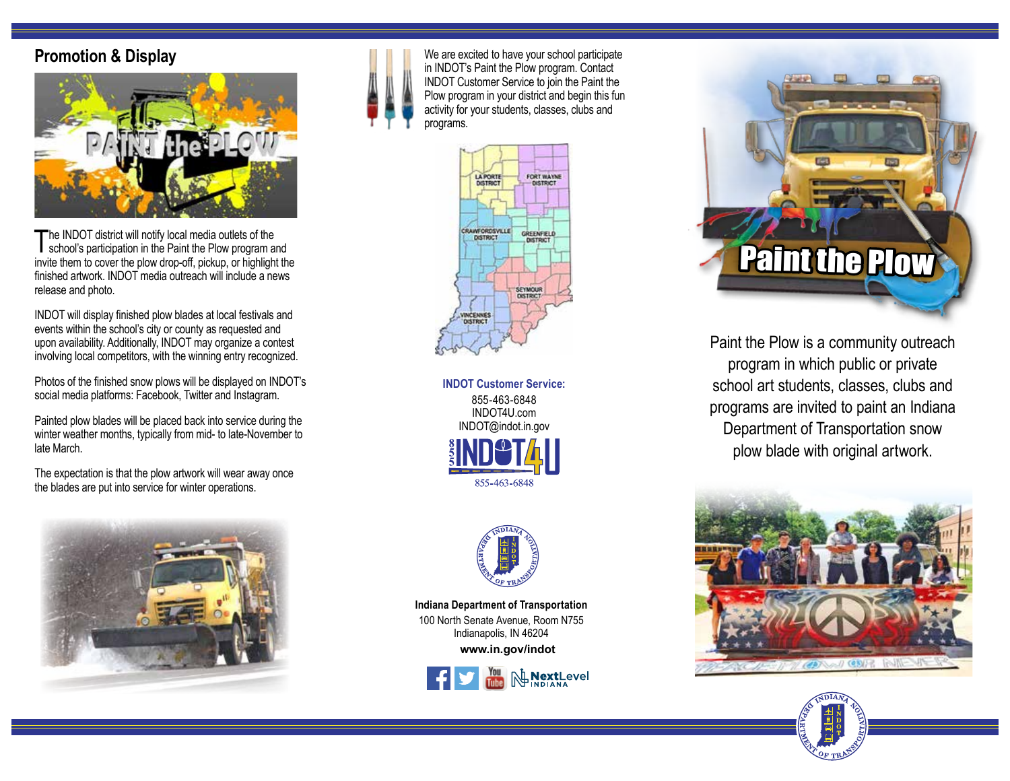## **Promotion & Display**



The INDOT district will notify local media outlets of the school's participation in the Paint the Plow program and invite them to cover the plow drop-off, pickup, or highlight the finished artwork. INDOT media outreach will include a news release and photo.

INDOT will display finished plow blades at local festivals and events within the school's city or county as requested and upon availability. Additionally, INDOT may organize a contest involving local competitors, with the winning entry recognized.

Photos of the finished snow plows will be displayed on INDOT's social media platforms: Facebook, Twitter and Instagram.

Painted plow blades will be placed back into service during the winter weather months, typically from mid- to late-November to late March.

The expectation is that the plow artwork will wear away once the blades are put into service for winter operations.





We are excited to have your school participate in INDOT's Paint the Plow program. Contact INDOT Customer Service to join the Paint the Plow program in your district and begin this fun activity for your students, classes, clubs and programs.



**INDOT Customer Service:** 855-463-6848 INDOT4U.com INDOT@indot.in.gov 855-463-6848



**www.in.gov/indot Indiana Department of Transportation** 100 North Senate Avenue, Room N755 Indianapolis, IN 46204





Paint the Plow is a community outreach program in which public or private school art students, classes, clubs and programs are invited to paint an Indiana Department of Transportation snow plow blade with original artwork.